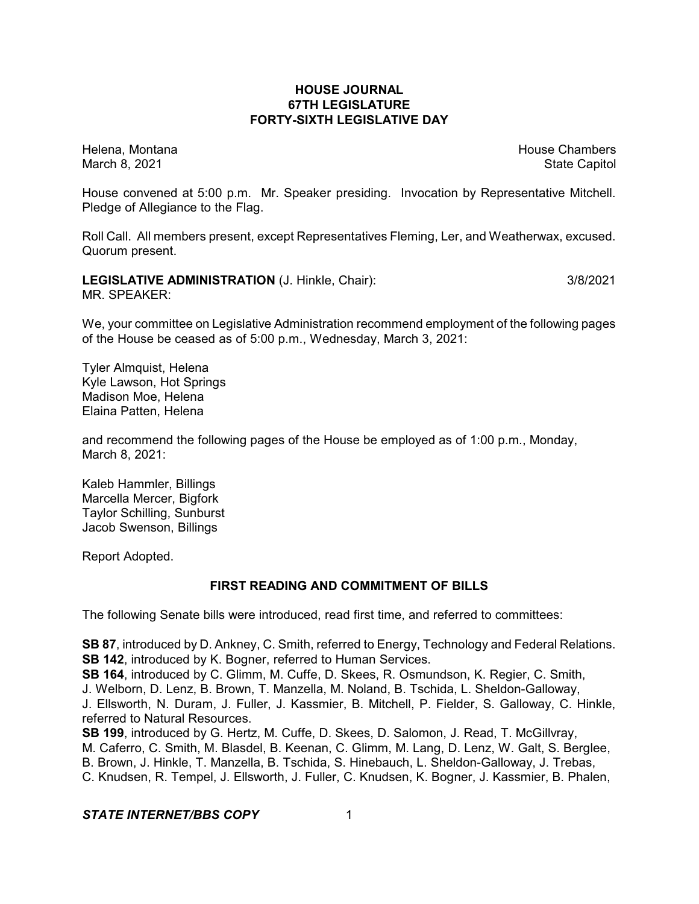## **HOUSE JOURNAL 67TH LEGISLATURE FORTY-SIXTH LEGISLATIVE DAY**

Helena, Montana **House Chambers** House Chambers **House Chambers** House Chambers **House Chambers** March 8, 2021 **State Capitol** State Capitol State Capitol State Capitol State Capitol State Capitol State Capitol

House convened at 5:00 p.m. Mr. Speaker presiding. Invocation by Representative Mitchell. Pledge of Allegiance to the Flag.

Roll Call. All members present, except Representatives Fleming, Ler, and Weatherwax, excused. Quorum present.

**LEGISLATIVE ADMINISTRATION** (J. Hinkle, Chair): 3/8/2021 MR. SPEAKER:

We, your committee on Legislative Administration recommend employment of the following pages of the House be ceased as of 5:00 p.m., Wednesday, March 3, 2021:

Tyler Almquist, Helena Kyle Lawson, Hot Springs Madison Moe, Helena Elaina Patten, Helena

and recommend the following pages of the House be employed as of 1:00 p.m., Monday, March 8, 2021:

Kaleb Hammler, Billings Marcella Mercer, Bigfork Taylor Schilling, Sunburst Jacob Swenson, Billings

Report Adopted.

## **FIRST READING AND COMMITMENT OF BILLS**

The following Senate bills were introduced, read first time, and referred to committees:

**SB 87**, introduced by D. Ankney, C. Smith, referred to Energy, Technology and Federal Relations. **SB 142**, introduced by K. Bogner, referred to Human Services. **SB 164**, introduced by C. Glimm, M. Cuffe, D. Skees, R. Osmundson, K. Regier, C. Smith, J. Welborn, D. Lenz, B. Brown, T. Manzella, M. Noland, B. Tschida, L. Sheldon-Galloway, J. Ellsworth, N. Duram, J. Fuller, J. Kassmier, B. Mitchell, P. Fielder, S. Galloway, C. Hinkle, referred to Natural Resources. **SB 199**, introduced by G. Hertz, M. Cuffe, D. Skees, D. Salomon, J. Read, T. McGillvray, M. Caferro, C. Smith, M. Blasdel, B. Keenan, C. Glimm, M. Lang, D. Lenz, W. Galt, S. Berglee,

B. Brown, J. Hinkle, T. Manzella, B. Tschida, S. Hinebauch, L. Sheldon-Galloway, J. Trebas,

C. Knudsen, R. Tempel, J. Ellsworth, J. Fuller, C. Knudsen, K. Bogner, J. Kassmier, B. Phalen,

## **STATE INTERNET/BBS COPY** 1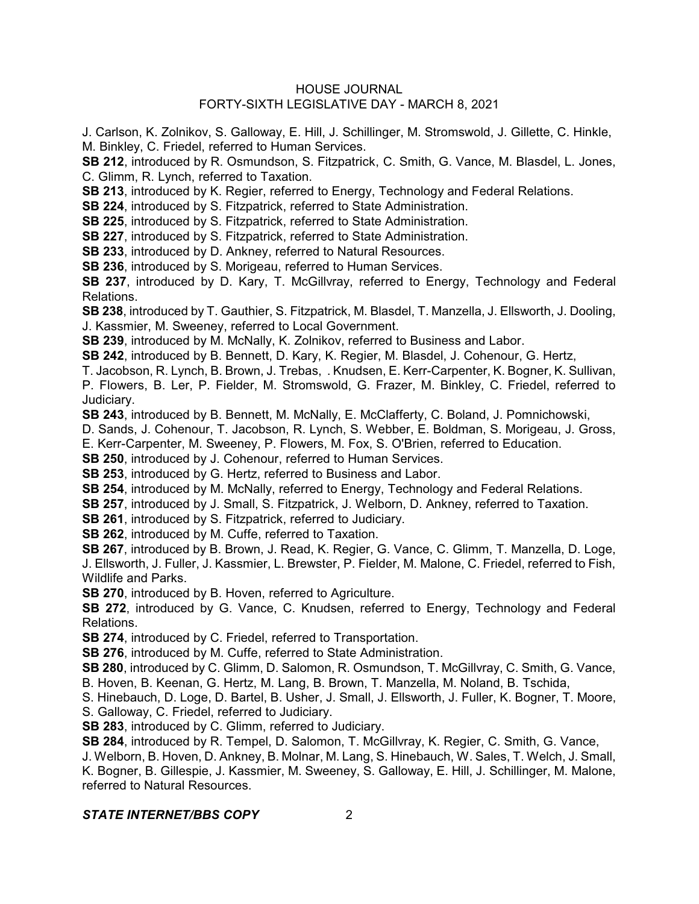#### HOUSE JOURNAL FORTY-SIXTH LEGISLATIVE DAY - MARCH 8, 2021

J. Carlson, K. Zolnikov, S. Galloway, E. Hill, J. Schillinger, M. Stromswold, J. Gillette, C. Hinkle, M. Binkley, C. Friedel, referred to Human Services.

**SB 212**, introduced by R. Osmundson, S. Fitzpatrick, C. Smith, G. Vance, M. Blasdel, L. Jones, C. Glimm, R. Lynch, referred to Taxation.

**SB 213**, introduced by K. Regier, referred to Energy, Technology and Federal Relations.

**SB 224**, introduced by S. Fitzpatrick, referred to State Administration.

**SB 225**, introduced by S. Fitzpatrick, referred to State Administration.

**SB 227**, introduced by S. Fitzpatrick, referred to State Administration.

**SB 233**, introduced by D. Ankney, referred to Natural Resources.

**SB 236**, introduced by S. Morigeau, referred to Human Services.

**SB 237**, introduced by D. Kary, T. McGillvray, referred to Energy, Technology and Federal Relations.

**SB 238**, introduced by T. Gauthier, S. Fitzpatrick, M. Blasdel, T. Manzella, J. Ellsworth, J. Dooling, J. Kassmier, M. Sweeney, referred to Local Government.

**SB 239**, introduced by M. McNally, K. Zolnikov, referred to Business and Labor.

**SB 242**, introduced by B. Bennett, D. Kary, K. Regier, M. Blasdel, J. Cohenour, G. Hertz,

T. Jacobson, R. Lynch, B. Brown, J. Trebas, . Knudsen, E. Kerr-Carpenter, K. Bogner, K. Sullivan,

P. Flowers, B. Ler, P. Fielder, M. Stromswold, G. Frazer, M. Binkley, C. Friedel, referred to Judiciary.

**SB 243**, introduced by B. Bennett, M. McNally, E. McClafferty, C. Boland, J. Pomnichowski,

D. Sands, J. Cohenour, T. Jacobson, R. Lynch, S. Webber, E. Boldman, S. Morigeau, J. Gross,

E. Kerr-Carpenter, M. Sweeney, P. Flowers, M. Fox, S. O'Brien, referred to Education.

**SB 250**, introduced by J. Cohenour, referred to Human Services.

**SB 253**, introduced by G. Hertz, referred to Business and Labor.

**SB 254**, introduced by M. McNally, referred to Energy, Technology and Federal Relations.

**SB 257**, introduced by J. Small, S. Fitzpatrick, J. Welborn, D. Ankney, referred to Taxation.

**SB 261**, introduced by S. Fitzpatrick, referred to Judiciary.

**SB 262**, introduced by M. Cuffe, referred to Taxation.

**SB 267**, introduced by B. Brown, J. Read, K. Regier, G. Vance, C. Glimm, T. Manzella, D. Loge, J. Ellsworth, J. Fuller, J. Kassmier, L. Brewster, P. Fielder, M. Malone, C. Friedel, referred to Fish, Wildlife and Parks.

**SB 270**, introduced by B. Hoven, referred to Agriculture.

**SB 272**, introduced by G. Vance, C. Knudsen, referred to Energy, Technology and Federal Relations.

**SB 274**, introduced by C. Friedel, referred to Transportation.

**SB 276**, introduced by M. Cuffe, referred to State Administration.

**SB 280**, introduced by C. Glimm, D. Salomon, R. Osmundson, T. McGillvray, C. Smith, G. Vance, B. Hoven, B. Keenan, G. Hertz, M. Lang, B. Brown, T. Manzella, M. Noland, B. Tschida,

S. Hinebauch, D. Loge, D. Bartel, B. Usher, J. Small, J. Ellsworth, J. Fuller, K. Bogner, T. Moore, S. Galloway, C. Friedel, referred to Judiciary.

**SB 283**, introduced by C. Glimm, referred to Judiciary.

**SB 284**, introduced by R. Tempel, D. Salomon, T. McGillvray, K. Regier, C. Smith, G. Vance,

J. Welborn, B. Hoven, D. Ankney, B. Molnar, M. Lang, S. Hinebauch, W. Sales, T. Welch, J. Small, K. Bogner, B. Gillespie, J. Kassmier, M. Sweeney, S. Galloway, E. Hill, J. Schillinger, M. Malone, referred to Natural Resources.

## *STATE INTERNET/BBS COPY* 2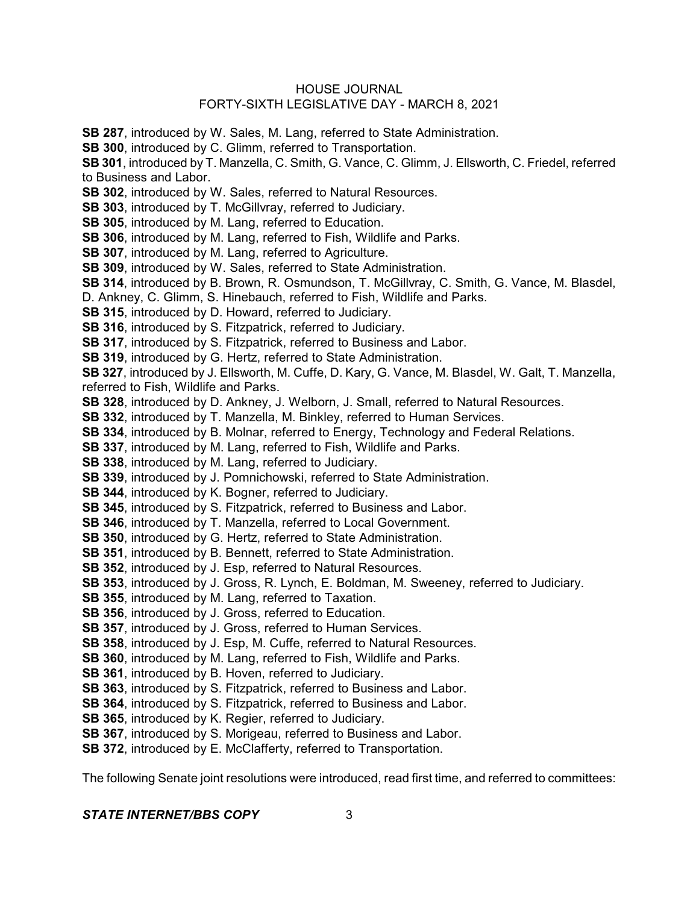#### HOUSE JOURNAL FORTY-SIXTH LEGISLATIVE DAY - MARCH 8, 2021

**SB 287**, introduced by W. Sales, M. Lang, referred to State Administration.

**SB 300**, introduced by C. Glimm, referred to Transportation.

**SB 301**, introduced by T. Manzella, C. Smith, G. Vance, C. Glimm, J. Ellsworth, C. Friedel, referred to Business and Labor.

**SB 302**, introduced by W. Sales, referred to Natural Resources.

**SB 303**, introduced by T. McGillvray, referred to Judiciary.

**SB 305**, introduced by M. Lang, referred to Education.

**SB 306**, introduced by M. Lang, referred to Fish, Wildlife and Parks.

**SB 307**, introduced by M. Lang, referred to Agriculture.

**SB 309**, introduced by W. Sales, referred to State Administration.

**SB 314**, introduced by B. Brown, R. Osmundson, T. McGillvray, C. Smith, G. Vance, M. Blasdel,

D. Ankney, C. Glimm, S. Hinebauch, referred to Fish, Wildlife and Parks.

**SB 315**, introduced by D. Howard, referred to Judiciary.

**SB 316**, introduced by S. Fitzpatrick, referred to Judiciary.

**SB 317, introduced by S. Fitzpatrick, referred to Business and Labor.** 

**SB 319**, introduced by G. Hertz, referred to State Administration.

**SB 327**, introduced by J. Ellsworth, M. Cuffe, D. Kary, G. Vance, M. Blasdel, W. Galt, T. Manzella, referred to Fish, Wildlife and Parks.

**SB 328**, introduced by D. Ankney, J. Welborn, J. Small, referred to Natural Resources.

**SB 332**, introduced by T. Manzella, M. Binkley, referred to Human Services.

**SB 334**, introduced by B. Molnar, referred to Energy, Technology and Federal Relations.

**SB 337**, introduced by M. Lang, referred to Fish, Wildlife and Parks.

**SB 338**, introduced by M. Lang, referred to Judiciary.

**SB 339**, introduced by J. Pomnichowski, referred to State Administration.

**SB 344**, introduced by K. Bogner, referred to Judiciary.

**SB 345**, introduced by S. Fitzpatrick, referred to Business and Labor.

**SB 346**, introduced by T. Manzella, referred to Local Government.

- **SB 350**, introduced by G. Hertz, referred to State Administration.
- **SB 351**, introduced by B. Bennett, referred to State Administration.
- **SB 352**, introduced by J. Esp, referred to Natural Resources.
- **SB 353**, introduced by J. Gross, R. Lynch, E. Boldman, M. Sweeney, referred to Judiciary.
- **SB 355**, introduced by M. Lang, referred to Taxation.
- **SB 356**, introduced by J. Gross, referred to Education.
- **SB 357**, introduced by J. Gross, referred to Human Services.
- **SB 358**, introduced by J. Esp, M. Cuffe, referred to Natural Resources.
- **SB 360**, introduced by M. Lang, referred to Fish, Wildlife and Parks.
- **SB 361**, introduced by B. Hoven, referred to Judiciary.
- **SB 363**, introduced by S. Fitzpatrick, referred to Business and Labor.
- **SB 364**, introduced by S. Fitzpatrick, referred to Business and Labor.
- **SB 365**, introduced by K. Regier, referred to Judiciary.

**SB 367**, introduced by S. Morigeau, referred to Business and Labor.

**SB 372**, introduced by E. McClafferty, referred to Transportation.

The following Senate joint resolutions were introduced, read first time, and referred to committees:

# *STATE INTERNET/BBS COPY* 3